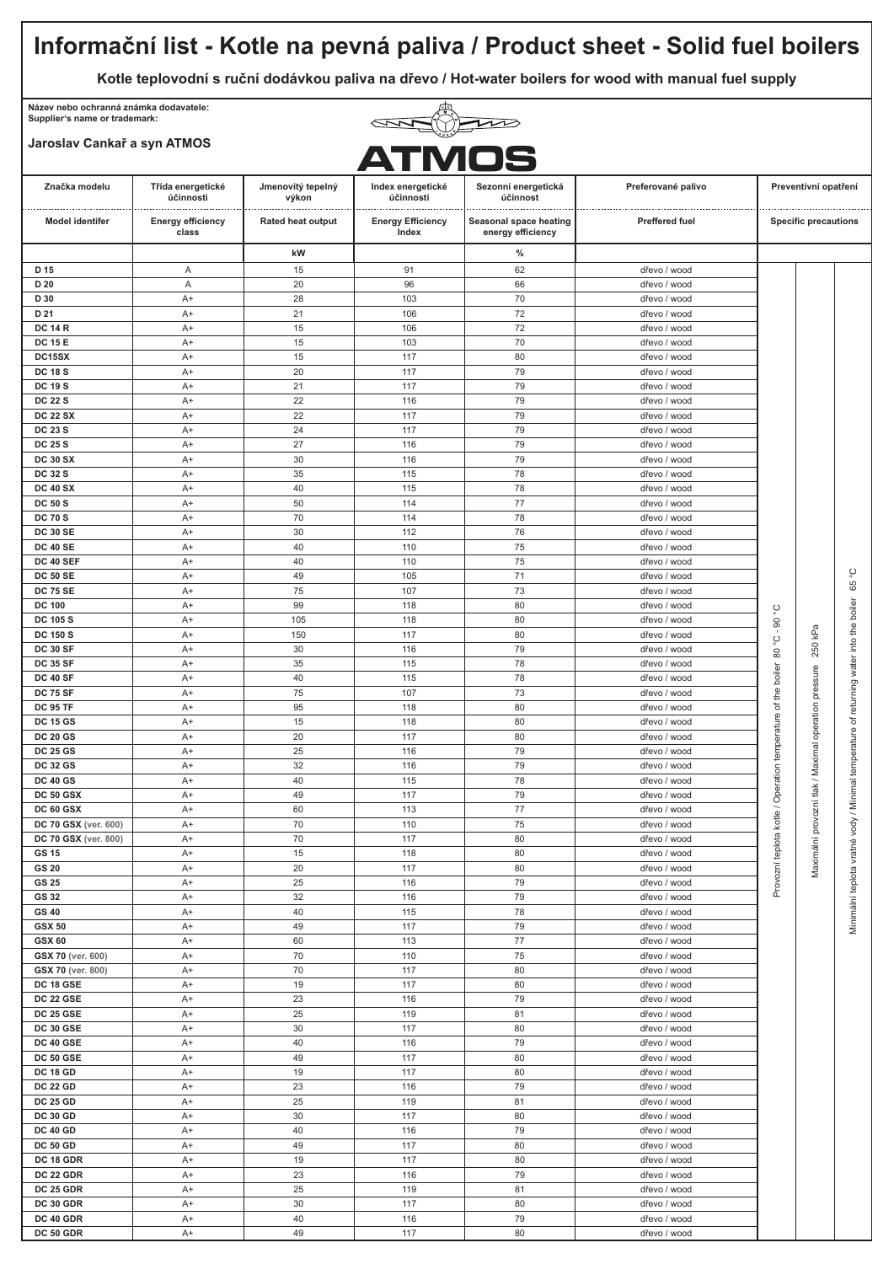### **Informační list - Kotle na pevná paliva / Product sheet - Solid fuel boilers Kotle teplovodní s ruční dodávkou paliva na dřevo / Hot-water boilers for wood with manual fuel supply Název nebo ochranná známka dodavatele: Supplier's name or trademark:**  $\overline{\mathbf{1}}$ **Jaroslav Cankař a syn ATMOS ATMOSZnačka modelu Třída energetické Jmenovitý tepelný Sezonní energetická Preferované palivo Preventivní opatření Index energetické účinnost účinnosti výkon účinnosti** . . . . . . . . . . . . . . **Rated heat output Energy Efficiency Model identifer Energy efficiency Seasonal space heating Preffered fuel Specific precautions class energy efficiency Index kW % D 15** A 15 91 62 dřevo / wood **48 103 106 106 106 106 106 106 106 106 106 106 106 106 106 106 106 106 106 106 106 106 106 106 106 106 106 106 106 106 106 106 106 106 106 106 106 D 20** A 20 96 66 dřevo / wood **D 30** | A+ | 28 | 103 | 70 | dřevo / wood **D 21** A+ 21 106 72 dřevo / wood **DC 14 R** A+ 15 106 72 dřevo / wood **DC 15 E** A+ | 15 | 103 | 70 | dřevo / wood **DC15SX** A+ 15 117 80 dřevo / wood **DC 18 S** A+ | 20 | 117 | 79 | dřevo / wood **DC 19 S** A+ | 21 | 117 | 79 | dřevo / wood **DC 22 S** A+ | 22 | 116 | 79 | dřevo / wood **DC 22 SX** A+ 22 117 79 dřevo / wood **DC 23 S** A+ 24 117 79 dřevo / wood **DC 25 S** A+ 27 116 79 dřevo / wood **DC 30 SX** A+ 30 116 79 dřevo / wood **DC 32 S** A+ 35 115 78 dřevo / wood **DC 40 SX** A+ 40 115 78 dřevo / wood **DC 50 S** A+ | 50 | 114 | 77 | dřevo / wood **DC 70 S** A+ 70 114 78 dřevo / wood **DC 30 SE** A+ | 30 | 112 | 76 | dřevo / wood **DC 40 SE** A+ | 40 | 110 75 dřevo / wood **DC 40 SEF** A+ 40 110 75 dřevo / wood Minimální teplota vratné vody / Minimal temperature of returning water into the boiler 65 °C **DC 50 SE** A+ | 49 | 105 | 71 | dřevo / wood 65 **DC 75 SE** A+ | 75 | 107 | 73 dřevo / wood boiler **DC 100** | A+ | 99 | 118 | 80 | dřevo / wood Provozní teplota kotle / Operation temperature of the boiler 80 °C - 90 °C  $\overline{8}$ **DC 105 S** | A+ | 105 | 118 | 80 | dřevo / wood kPa into the Maximální provozní tlak / Maximal operation pressure 250 kPa **DC 150 S** | A+ | 150 | 117 | 80 | dřevo / wood ڹ 250 **DC 30 SF** A+ 30 116 79 dřevo / wood  $\overset{^{\circ}}{8}$ of returning water **DC 35 SF** A+ 35 115 78 dřevo / wood boiler pressure **DC 40 SF** A+ 40 115 78 dřevo / wood the **DC 75 SF** A+ 75 107 73 dřevo / wood Operation temperature of **DC 95 TF** | A+ | 95 | 118 | 80 | dřevo / wood operation **DC 15 GS** | A+ | 15 | 118 | 80 | dřevo / wood temperature **DC 20 GS** A+ | 20 | 117 | 80 | dřevo / wood / Maximal **DC 25 GS** A+ | 25 | 116 | 79 | dřevo / wood **DC 32 GS** A+ | 32 | 116 | 79 | dřevo / wood **DC 40 GS** A+ | 40 | 115 | 78 | dřevo / wood / Minimal  $t$ lak $t$ **DC 50 GSX** A+ | 49 | 117 | 79 | dřevo / wood provozní **DC 60 GSX** A+ 60 113 77 dřevo / wood Provozní teplota kotle vody **DC 70 GSX (ver. 600)** A+ 70 110 75 dřevo / wood **DC 70 GSX** (ver. 800) **A+** 70 117 80 dřevo / wood Maximální vinimální teplota vratné **GS 15** A+ 15 118 80 dřevo / wood **GS 20** | A+ | 20 | 117 | 80 | dřevo / wood **GS 25** | A+ | 25 | 116 | 79 | dřevo / wood **GS 32** A+ 32 116 79 dřevo / wood **GS 40** | A+ | 40 | 115 | 78 | dřevo / wood **GSX 50** | A+ | 49 | 117 | 79 | dřevo / wood **GSX 60** A+ | 60 | 113 | 77 | dřevo / wood **GSX 70 (ver. 600)** A+ 70 110 75 dřevo / wood **GSX 70 (ver. 800)** A+ 70 117 80 dřevo / wood **DC 18 GSE** A+ | 19 | 117 | 80 | dřevo / wood **DC 22 GSE** | A+ | 23 | 116 | 79 | dřevo / wood **DC 25 GSE** A+ 25 119 81 dřevo / wood **DC 30 GSE A+ 30 117 80 dřevo / wood DC 40 GSE** A+ 40 116 79 dřevo / wood **DC 50 GSE A+ 49 117 80 dřevo / wood DC 18 GD** | A+ | 19 | 117 | 80 | dřevo / wood **DC 22 GD** A+ 23 116 79 dřevo / wood **DC 25 GD** A+ 25 119 81 dřevo / wood **DC 30 GD** A+ | 30 | 117 | 80 | dřevo / wood **DC 40 GD** A+ 40 116 79 dřevo / wood **DC 50 GD** A+ | 49 | 117 | 80 | dřevo / wood **DC 18 GDR** | A+ | 19 | 117 | 80 | dřevo / wood **DC 22 GDR** A+ 23 116 79 dřevo / wood **DC 25 GDR** A+ 25 119 81 dřevo / wood **DC 30 GDR** A+ 30 117 80 dřevo / wood **DC 40 GDR** A+ 40 116 79 dřevo / wood **DC 50 GDR** A+ 49 117 80 dřevo / wood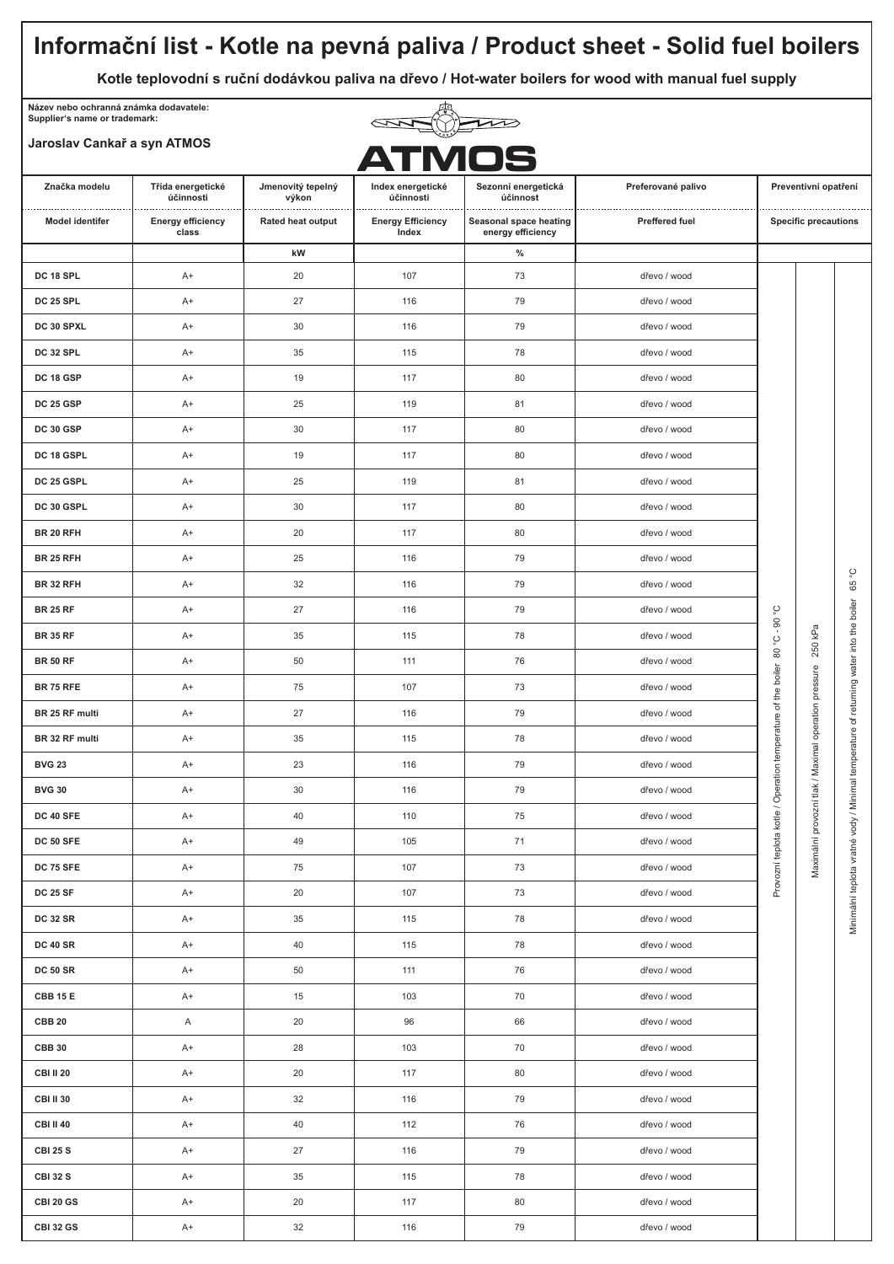## **Informační list - Kotle na pevná paliva / Product sheet - Solid fuel boilers Kotle teplovodní s ruční dodávkou paliva na dřevo / Hot-water boilers for wood with manual fuel supply Název nebo ochranná známka dodavatele: Supplier's name or trademark:**  $\overline{\mathbf{z}}$ **Jaroslav Cankař a syn ATMOS ATMOSZnačka modelu Třída energetické Jmenovitý tepelný Sezonní energetická Preferované palivo Preventivní opatření Index energetické účinnosti účinnost účinnosti výkon** . . . . . . . . . . . . . . . . . .................................... . . . . . . . . . . . . . . . . . . . . . . . **Model identifer Energy efficiency Rated heat output Energy Efficiency Seasonal space heating Preffered fuel Specific precautions class energy efficiency Index kW % DC 18 SPL** A+ 20 107 73 dřevo / wood 116 79 **DC 25 SPL** A+ 27 116 79 dřevo / wood **DC 30 SPXL** A+ 30 116 79 dřevo / wood **DC 32 SPL** A+ 35 115 78 dřevo / wood **DC 18 GSP** A+ 19 117 80 dřevo / wood **DC 25 GSP** A+ | 25 | 119 | 81 | dřevo / wood **DC 30 GSP** A+ | 30 | 117 | 80 | dřevo / wood **DC 18 GSPL** A+ 19 117 80 dřevo / wood **DC 25 GSPL** A+ 25 119 81 dřevo / wood **DC 30 GSPL** A+ 30 117 80 dřevo / wood **BR 20 RFH** | A+ | 20 | 117 | 80 | dřevo / wood **BR 25 RFH** A+ 25 116 79 dřevo / wood Minimální teplota vratné vody / Minimal temperature of returning water into the boiler 65 °C 65 **BR 32 RFH** A+ 32 116 79 dřevo / wood boiler  $\tilde{\Omega}$ **BR 25 RF** A+ | 27 | 116 | 79 | dřevo / wood Provozní teplota kotle / Operation temperature of the boiler 80 °C - 90 °C  $\infty$ the kPa Maximální provozní tlak / Maximal operation pressure 250 kPa **BR 35 RF** A+ 35 115 78 dřevo / wood ٺي into 250  $\overset{^{\circ}}{8}$ temperature of returning water **BR 50 RF** A+ 50 111 76 dřevo / wood boiler pressure **BR 75 RFE** A+ 75 107 73 dřevo / wood temperature of the operation **BR 25 RF multi** A+ 27 116 79 dřevo / wood **BR 32 RF multi** A+ 35 115 78 dřevo / wood / Maximal **BVG 23** A+ 23 116 79 dřevo / wood Operation / Minimal  $t$ lak **BVG 30** A+ 30 116 79 dřevo / wood provozní Provozní teplota kotle / **DC 40 SFE** A+ | 40 | 110 | 75 | dřevo / wood vody Maximální vinimální teplota vratné **DC 50 SFE** A+ 49 105 71 dřevo / wood **DC 75 SFE** A+ 75 107 73 dřevo / wood **DC 25 SF** A+ | 20 | 107 | 73 | dřevo / wood **DC 32 SR** A+ 35 115 78 dřevo / wood **DC 40 SR** A+ 40 115 78 dřevo / wood **DC 50 SR** A+ 50 111 76 dřevo / wood **CBB 15 E** A+ | 15 | 103 | 70 | dřevo / wood **CBB 20** A 20 96 66 dřevo / wood **CBB 30** A+ 28 103 70 dřevo / wood **CBI II 20** A+ 20 117 80 dřevo / wood **CBI II 30** A+ | 32 | 116 | 79 | dřevo / wood **CBI II 40** A+ 40 112 76 dřevo / wood **CBI 25 S** | A+ | 27 | 116 | 79 | dřevo / wood **CBI 32 S** A+ 35 | 115 78 | dřevo / wood **CBI 20 GS** A+ | 20 | 117 | 80 | dřevo / wood **CBI 32 GS** A+ 32 116 79 dřevo / wood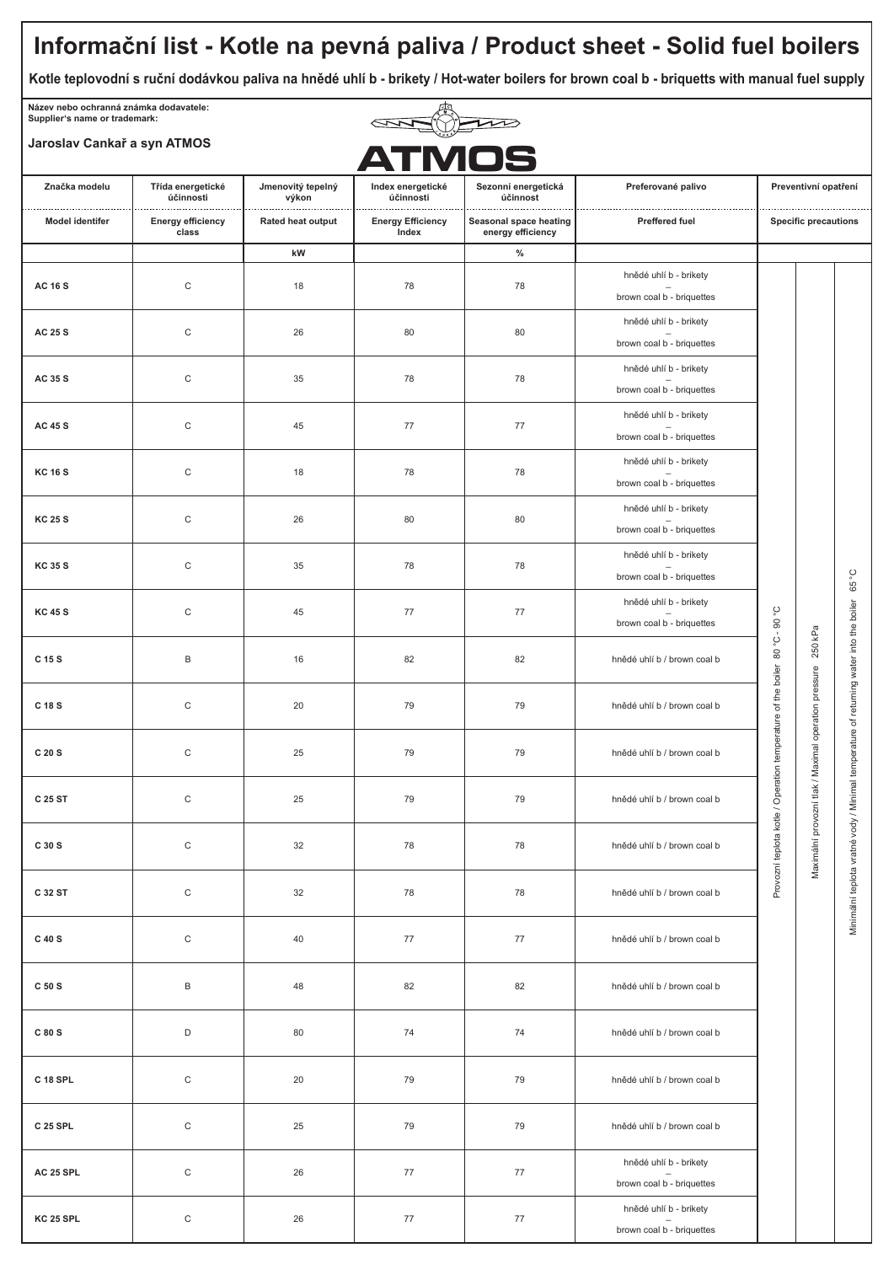# **Informační list - Kotle na pevná paliva / Product sheet - Solid fuel boilers**

**Kotle teplovodní s ruční dodávkou paliva na hnědé uhlí b - brikety / Hot-water boilers for brown coal b - briquetts with manual fuel supply**

**Název nebo ochranná známka dodavatele: Supplier's name or trademark:**

# **Jaroslav Cankař a syn ATMOS**



| Jaroslav Cankar a syn ATMOS |                                                                     |                                                 | <b>ATMOS</b>                                                        |                                             |                                                     |                                                                               |                                                      |                                                                      |
|-----------------------------|---------------------------------------------------------------------|-------------------------------------------------|---------------------------------------------------------------------|---------------------------------------------|-----------------------------------------------------|-------------------------------------------------------------------------------|------------------------------------------------------|----------------------------------------------------------------------|
| Značka modelu               | Třída energetické<br>účinnosti<br><b>Energy efficiency</b><br>class | Jmenovitý tepelný<br>výkon<br>Rated heat output | Index energetické<br>účinnosti<br><b>Energy Efficiency</b><br>Index | Sezonní energetická<br>účinnost             | Preferované palivo                                  | Preventivní opatření<br><b>Specific precautions</b>                           |                                                      |                                                                      |
| <b>Model identifer</b>      |                                                                     |                                                 |                                                                     | Seasonal space heating<br>energy efficiency | Preffered fuel                                      |                                                                               |                                                      |                                                                      |
|                             |                                                                     | kW                                              |                                                                     | $\%$                                        |                                                     |                                                                               |                                                      |                                                                      |
| <b>AC 16 S</b>              | $\mathsf C$                                                         | 18                                              | 78                                                                  | 78                                          | hnědé uhlí b - brikety<br>brown coal b - briquettes |                                                                               |                                                      |                                                                      |
| AC 25 S                     | $\mathsf C$                                                         | 26                                              | 80                                                                  | 80                                          | hnědé uhlí b - brikety<br>brown coal b - briquettes | ပ္<br>Provozní teplota kotle / Operation temperature of the boiler 80 °C - 90 | 250 kPa                                              | ပ္<br>65<br>/ Minimal temperature of returning water into the boiler |
| AC 35 S                     | $\mathsf C$                                                         | 35                                              | 78                                                                  | 78                                          | hnědé uhlí b - brikety<br>brown coal b - briquettes |                                                                               |                                                      |                                                                      |
| <b>AC 45 S</b>              | $\mathsf C$                                                         | 45                                              | 77                                                                  | 77                                          | hnědé uhlí b - brikety<br>brown coal b - briquettes |                                                                               |                                                      |                                                                      |
| <b>KC 16 S</b>              | $\mathsf C$                                                         | 18                                              | 78                                                                  | 78                                          | hnědé uhlí b - brikety<br>brown coal b - briquettes |                                                                               |                                                      |                                                                      |
| <b>KC 25 S</b>              | $\mathsf C$                                                         | 26                                              | 80                                                                  | 80                                          | hnědé uhlí b - brikety<br>brown coal b - briquettes |                                                                               |                                                      |                                                                      |
| <b>KC 35 S</b>              | $\mathsf C$                                                         | 35                                              | 78                                                                  | 78                                          | hnědé uhlí b - brikety<br>brown coal b - briquettes |                                                                               |                                                      |                                                                      |
| <b>KC 45 S</b>              | $\mathsf C$                                                         | 45                                              | 77                                                                  | 77                                          | hnědé uhlí b - brikety<br>brown coal b - briquettes |                                                                               |                                                      |                                                                      |
| C 15 S                      | $\mathsf B$                                                         | 16                                              | 82                                                                  | 82                                          | hnědé uhlí b / brown coal b                         |                                                                               |                                                      |                                                                      |
| C 18 S                      | $\mathsf C$                                                         | 20                                              | 79                                                                  | 79                                          | hnědé uhlí b / brown coal b                         |                                                                               |                                                      |                                                                      |
| C 20 S                      | $\mathsf C$                                                         | 25                                              | 79                                                                  | 79                                          | hnědé uhlí b / brown coal b                         |                                                                               |                                                      |                                                                      |
| C 25 ST                     | $\mathsf C$                                                         | 25                                              | 79                                                                  | 79                                          | hnědé uhlí b / brown coal b                         |                                                                               |                                                      |                                                                      |
| C 30 S                      | $\mathsf C$                                                         | 32                                              | 78                                                                  | 78                                          | hnědé uhlí b / brown coal b                         |                                                                               | Maximální provozní tlak / Maximal operation pressure | Minimální teplota vratné vody                                        |
| C 32 ST                     | $\mathsf C$                                                         | 32                                              | 78                                                                  | 78                                          | hnědé uhlí b / brown coal b                         |                                                                               |                                                      |                                                                      |
| C 40 S                      | $\mathsf C$                                                         | 40                                              | 77                                                                  | 77                                          | hnědé uhlí b / brown coal b                         |                                                                               |                                                      |                                                                      |
| C 50 S                      | $\sf B$                                                             | 48                                              | 82                                                                  | 82                                          | hnědé uhlí b / brown coal b                         |                                                                               |                                                      |                                                                      |
| C 80 S                      | $\mathsf D$                                                         | 80                                              | 74                                                                  | 74                                          | hnědé uhlí b / brown coal b                         |                                                                               |                                                      |                                                                      |
| C 18 SPL                    | $\mathbf C$                                                         | 20                                              | 79                                                                  | 79                                          | hnědé uhlí b / brown coal b                         |                                                                               |                                                      |                                                                      |
| C 25 SPL                    | $\mathbf C$                                                         | 25                                              | 79                                                                  | 79                                          | hnědé uhlí b / brown coal b                         |                                                                               |                                                      |                                                                      |
| AC 25 SPL                   | $\mathsf C$                                                         | 26                                              | 77                                                                  | $77 \,$                                     | hnědé uhlí b - brikety<br>brown coal b - briquettes |                                                                               |                                                      |                                                                      |
| KC 25 SPL                   | $\mathsf C$                                                         | 26                                              | 77                                                                  | 77                                          | hnědé uhlí b - brikety<br>brown coal b - briquettes |                                                                               |                                                      |                                                                      |